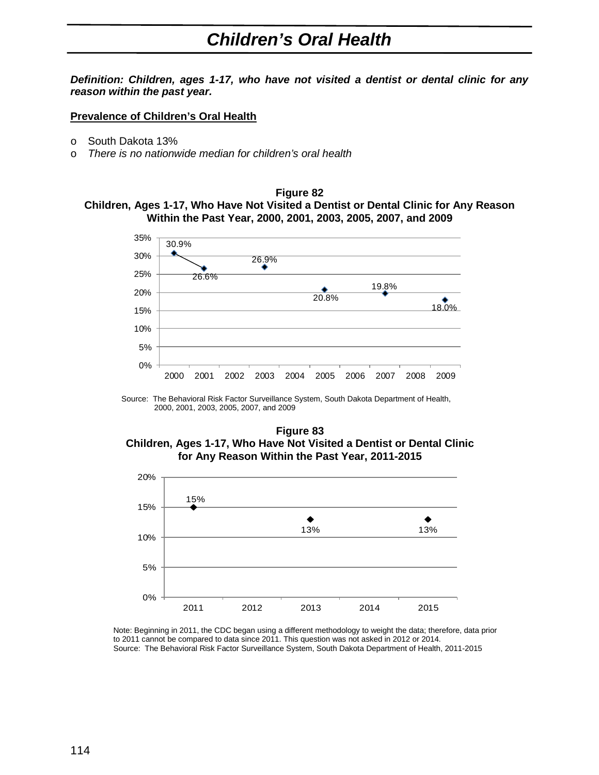## *Children's Oral Health*

*Definition: Children, ages 1-17, who have not visited a dentist or dental clinic for any reason within the past year.*

## **Prevalence of Children's Oral Health**

- o South Dakota 13%
- o *There is no nationwide median for children's oral health*

## **Figure 82 Children, Ages 1-17, Who Have Not Visited a Dentist or Dental Clinic for Any Reason Within the Past Year, 2000, 2001, 2003, 2005, 2007, and 2009**



Source: The Behavioral Risk Factor Surveillance System, South Dakota Department of Health, 2000, 2001, 2003, 2005, 2007, and 2009

## **Figure 83 Children, Ages 1-17, Who Have Not Visited a Dentist or Dental Clinic for Any Reason Within the Past Year, 2011-2015**



Note: Beginning in 2011, the CDC began using a different methodology to weight the data; therefore, data prior to 2011 cannot be compared to data since 2011. This question was not asked in 2012 or 2014. Source: The Behavioral Risk Factor Surveillance System, South Dakota Department of Health, 2011-2015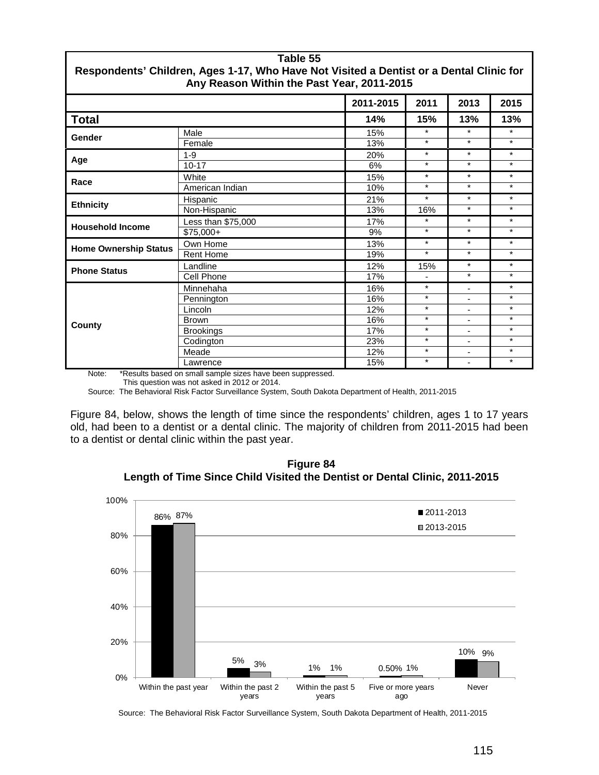| Table 55<br>Respondents' Children, Ages 1-17, Who Have Not Visited a Dentist or a Dental Clinic for<br>Any Reason Within the Past Year, 2011-2015 |                    |           |         |                              |         |  |
|---------------------------------------------------------------------------------------------------------------------------------------------------|--------------------|-----------|---------|------------------------------|---------|--|
|                                                                                                                                                   |                    | 2011-2015 | 2011    | 2013                         | 2015    |  |
| <b>Total</b>                                                                                                                                      |                    | 14%       | 15%     | 13%                          | 13%     |  |
| Gender                                                                                                                                            | Male               | 15%       | $\star$ | $\star$                      | $\star$ |  |
|                                                                                                                                                   | Female             | 13%       | $\star$ | $\star$                      | $\star$ |  |
| Age                                                                                                                                               | $1 - 9$            | 20%       | $\star$ | $\star$                      | $\star$ |  |
|                                                                                                                                                   | $10 - 17$          | 6%        | $\star$ | $^\star$                     | $\star$ |  |
| Race                                                                                                                                              | White              | 15%       | $\star$ | $\star$                      | $\star$ |  |
|                                                                                                                                                   | American Indian    | 10%       | $\star$ | $\star$                      | $\star$ |  |
| <b>Ethnicity</b>                                                                                                                                  | Hispanic           | 21%       | $\star$ | $\star$                      | $\star$ |  |
|                                                                                                                                                   | Non-Hispanic       | 13%       | 16%     | $\star$                      | $\star$ |  |
| <b>Household Income</b>                                                                                                                           | Less than \$75,000 | 17%       | $\star$ | $^\star$                     | $\star$ |  |
|                                                                                                                                                   | $$75,000+$         | 9%        | $\star$ | $\star$                      | $\star$ |  |
| <b>Home Ownership Status</b>                                                                                                                      | Own Home           | 13%       | $\star$ | $\star$                      | $\star$ |  |
|                                                                                                                                                   | <b>Rent Home</b>   | 19%       | $\star$ | $\star$                      | $\star$ |  |
| <b>Phone Status</b>                                                                                                                               | Landline           | 12%       | 15%     | $\star$                      | $\star$ |  |
|                                                                                                                                                   | Cell Phone         | 17%       |         | $\star$                      | $\star$ |  |
| County                                                                                                                                            | Minnehaha          | 16%       | $\star$ | $\overline{\phantom{0}}$     | $\star$ |  |
|                                                                                                                                                   | Pennington         | 16%       | $\star$ | ٠                            | $\star$ |  |
|                                                                                                                                                   | Lincoln            | 12%       | $\star$ | $\overline{\phantom{a}}$     | $\star$ |  |
|                                                                                                                                                   | <b>Brown</b>       | 16%       | $\star$ | $\overline{\phantom{m}}$     | $\star$ |  |
|                                                                                                                                                   | <b>Brookings</b>   | 17%       | $\star$ | $\overline{\phantom{a}}$     | $\star$ |  |
|                                                                                                                                                   | Codington          | 23%       | $\star$ | $\qquad \qquad \blacksquare$ | $\star$ |  |
|                                                                                                                                                   | Meade              | 12%       | $\star$ | $\qquad \qquad \blacksquare$ | $\star$ |  |
|                                                                                                                                                   | Lawrence           | 15%       | $\star$ | $\blacksquare$               | $\star$ |  |

Note: \*Results based on small sample sizes have been suppressed.

This question was not asked in 2012 or 2014.

Source: The Behavioral Risk Factor Surveillance System, South Dakota Department of Health, 2011-2015

Figure 84, below, shows the length of time since the respondents' children, ages 1 to 17 years old, had been to a dentist or a dental clinic. The majority of children from 2011-2015 had been to a dentist or dental clinic within the past year.





Source: The Behavioral Risk Factor Surveillance System, South Dakota Department of Health, 2011-2015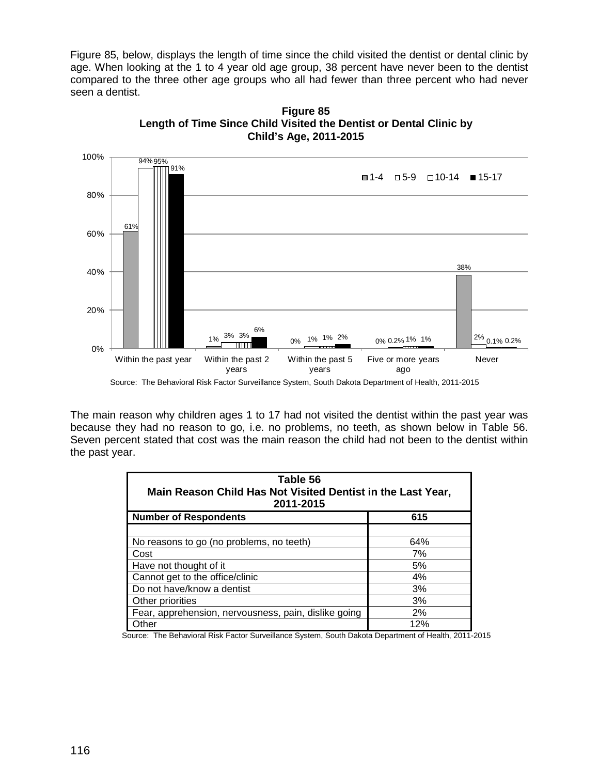Figure 85, below, displays the length of time since the child visited the dentist or dental clinic by age. When looking at the 1 to 4 year old age group, 38 percent have never been to the dentist compared to the three other age groups who all had fewer than three percent who had never seen a dentist.



**Figure 85 Length of Time Since Child Visited the Dentist or Dental Clinic by Child's Age, 2011-2015**

The main reason why children ages 1 to 17 had not visited the dentist within the past year was because they had no reason to go, i.e. no problems, no teeth, as shown below in Table 56. Seven percent stated that cost was the main reason the child had not been to the dentist within the past year.

| Table 56<br>Main Reason Child Has Not Visited Dentist in the Last Year,<br>2011-2015 |     |  |  |  |
|--------------------------------------------------------------------------------------|-----|--|--|--|
| <b>Number of Respondents</b>                                                         | 615 |  |  |  |
|                                                                                      |     |  |  |  |
| No reasons to go (no problems, no teeth)                                             | 64% |  |  |  |
| Cost                                                                                 | 7%  |  |  |  |
| Have not thought of it                                                               | 5%  |  |  |  |
| Cannot get to the office/clinic                                                      | 4%  |  |  |  |
| Do not have/know a dentist                                                           | 3%  |  |  |  |
| Other priorities                                                                     | 3%  |  |  |  |
| Fear, apprehension, nervousness, pain, dislike going                                 | 2%  |  |  |  |
| Other                                                                                | 12% |  |  |  |

Source: The Behavioral Risk Factor Surveillance System, South Dakota Department of Health, 2011-2015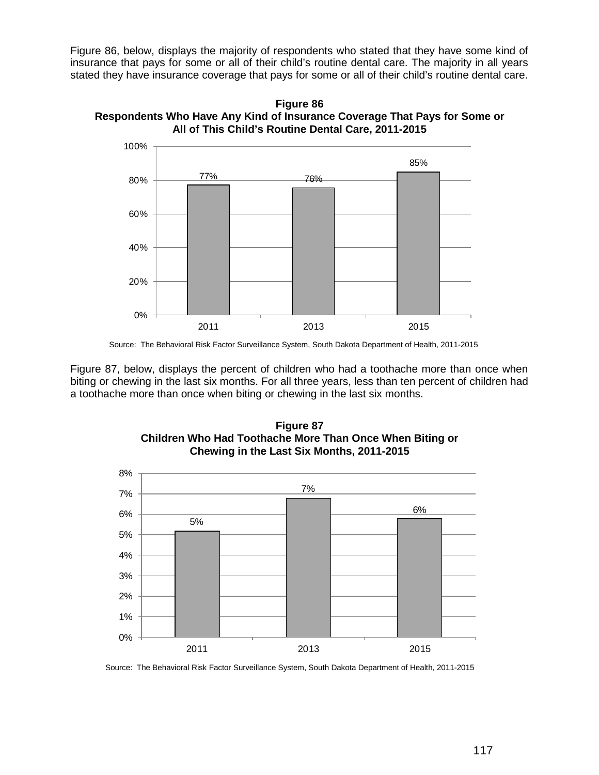Figure 86, below, displays the majority of respondents who stated that they have some kind of insurance that pays for some or all of their child's routine dental care. The majority in all years stated they have insurance coverage that pays for some or all of their child's routine dental care.

**Figure 86 Respondents Who Have Any Kind of Insurance Coverage That Pays for Some or All of This Child's Routine Dental Care, 2011-2015**



Source: The Behavioral Risk Factor Surveillance System, South Dakota Department of Health, 2011-2015

Figure 87, below, displays the percent of children who had a toothache more than once when biting or chewing in the last six months. For all three years, less than ten percent of children had a toothache more than once when biting or chewing in the last six months.





Source: The Behavioral Risk Factor Surveillance System, South Dakota Department of Health, 2011-2015